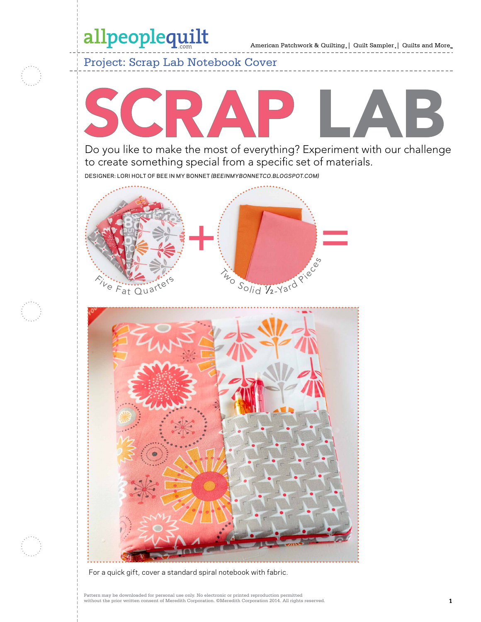### allpeoplequilt

American Patchwork & Quilting | Quilt Sampler | Quilts and More

Project: Scrap Lab Notebook Cover

# SCRAP В

Do you like to make the most of everything? Experiment with our challenge to create something special from a specific set of materials.

designer: Lori Holt of bee in my bonnet *(beeinmybonnetco.blogspot.com)*





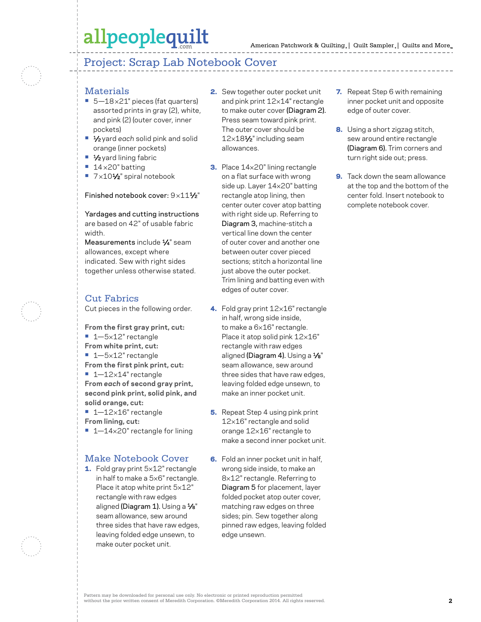### allpeoplequilt

### Project: Scrap Lab Notebook Cover

#### **Materials**

- 5-18×21" pieces (fat quarters) assorted prints in gray (2), white, and pink (2) (outer cover, inner pockets)
- **•** 1⁄2 yard *each* solid pink and solid orange (inner pockets)
- **•** 1⁄2 yard lining fabric
- **•** 14 ×20" batting
- 7×10<sup>1</sup>⁄2" spiral notebook

Finished notebook cover:  $9 \times 11\frac{1}{2}$ "

Yardages and cutting instructions are based on 42" of usable fabric width.

Measurements include 1/4" seam allowances, except where indicated. Sew with right sides together unless otherwise stated.

#### Cut Fabrics

Cut pieces in the following order.

**From the first gray print, cut: •** 1—5×12" rectangle **From white print, cut: •** 1—5×12" rectangle **From the first pink print, cut: •** 1—12×14" rectangle **From** *each* **of second gray print, second pink print, solid pink, and solid orange, cut: •** 1—12×16" rectangle

**From lining, cut:**

■ 1-14×20" rectangle for lining

#### Make Notebook Cover

1. Fold gray print 5×12" rectangle in half to make a 5×6" rectangle. Place it atop white print 5×12" rectangle with raw edges aligned (Diagram 1). Using a  $\frac{1}{8}$ " seam allowance, sew around three sides that have raw edges, leaving folded edge unsewn, to make outer pocket unit.

- 2. Sew together outer pocket unit and pink print 12×14" rectangle to make outer cover (Diagram 2). Press seam toward pink print. The outer cover should be 12×181⁄2" including seam allowances.
- 3. Place 14×20" lining rectangle on a flat surface with wrong side up. Layer 14×20" batting rectangle atop lining, then center outer cover atop batting with right side up. Referring to Diagram 3, machine-stitch a vertical line down the center of outer cover and another one between outer cover pieced sections; stitch a horizontal line just above the outer pocket. Trim lining and batting even with edges of outer cover.
- 4. Fold gray print 12×16" rectangle in half, wrong side inside, to make a 6×16" rectangle. Place it atop solid pink 12×16" rectangle with raw edges aligned (Diagram 4). Using a  $\frac{1}{8}$ " seam allowance, sew around three sides that have raw edges, leaving folded edge unsewn, to make an inner pocket unit.
- **5.** Repeat Step 4 using pink print 12×16" rectangle and solid orange 12×16" rectangle to make a second inner pocket unit.
- **6.** Fold an inner pocket unit in half, wrong side inside, to make an 8×12" rectangle. Referring to Diagram 5 for placement, layer folded pocket atop outer cover, matching raw edges on three sides; pin. Sew together along pinned raw edges, leaving folded edge unsewn.
- 7. Repeat Step 6 with remaining inner pocket unit and opposite edge of outer cover.
- 8. Using a short zigzag stitch, sew around entire rectangle (Diagram 6). Trim corners and turn right side out; press.
- **9.** Tack down the seam allowance at the top and the bottom of the center fold. Insert notebook to complete notebook cover.